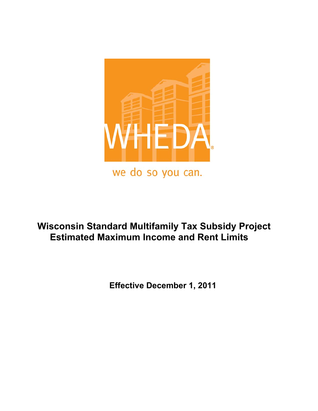

# **Wisconsin Standard Multifamily Tax Subsidy Project Estimated Maximum Income and Rent Limits**

 **Effective December 1, 2011**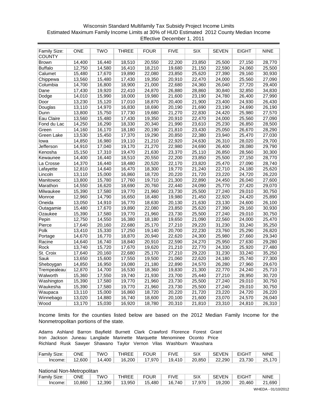## Wisconsin Standard Multifamily Tax Subsidy Project Income Limits Estimated Maximum Family Income Limits at 30% of HUD Estimated 2012 County Median Income Effective December 1, 2011

| Family Size:   | <b>ONE</b> | TWO    | THREE  | <b>FOUR</b> | <b>FIVE</b> | <b>SIX</b> | <b>SEVEN</b> | EIGHT  | <b>NINE</b> |
|----------------|------------|--------|--------|-------------|-------------|------------|--------------|--------|-------------|
| <b>COUNTY</b>  |            |        |        |             |             |            |              |        |             |
| <b>Brown</b>   | 14,400     | 16,440 | 18,510 | 20,550      | 22,200      | 23,850     | 25,500       | 27,150 | 28,770      |
| <b>Buffalo</b> | 12,750     | 14,580 | 16,410 | 18,210      | 19,680      | 21,150     | 22,590       | 24,060 | 25,500      |
| Calumet        | 15,480     | 17,670 | 19,890 | 22,080      | 23,850      | 25,620     | 27,390       | 29,160 | 30,930      |
| Chippewa       | 13,560     | 15,480 | 17,430 | 19,350      | 20,910      | 22,470     | 24,000       | 25,560 | 27,090      |
| Columbia       | 14,700     | 16,800 | 18,900 | 21,000      | 22,680      | 24,360     | 26,040       | 27,720 | 29,400      |
| Dane           | 17,430     | 19,920 | 22,410 | 24,870      | 26,880      | 28,860     | 30,840       | 32,850 | 34,830      |
| Dodge          | 14,010     | 15,990 | 18,000 | 19,980      | 21,600      | 23,190     | 24,780       | 26,400 | 27,990      |
| Door           | 13,230     | 15,120 | 17,010 | 18,870      | 20,400      | 21,900     | 23,400       | 24,930 | 26,430      |
| Douglas        | 13,110     | 14,970 | 16,830 | 18,690      | 20,190      | 21,690     | 23,190       | 24,690 | 26,190      |
| Dunn           | 13,800     | 15,750 | 17,730 | 19,680      | 21,270      | 22,830     | 24,420       | 25,980 | 27,570      |
| Eau Claire     | 13,560     | 15,480 | 17,430 | 19,350      | 20,910      | 22,470     | 24,000       | 25,560 | 27,090      |
| Fond du Lac    | 14,250     | 16,290 | 18,330 | 20,340      | 21,990      | 23,610     | 25,230       | 26,850 | 28,500      |
| Green          | 14,160     | 16,170 | 18,180 | 20,190      | 21,810      | 23,430     | 25,050       | 26,670 | 28,290      |
| Green Lake     | 13,530     | 15,450 | 17,370 | 19,290      | 20,850      | 22,380     | 23,940       | 25,470 | 27,030      |
| lowa           | 14,850     | 16,980 | 19,110 | 21,210      | 22,920      | 24,630     | 26,310       | 28,020 | 29,700      |
| Jefferson      | 14,910     | 17,040 | 19,170 | 21,270      | 22,980      | 24,690     | 26,400       | 28,080 | 29,790      |
| Kenosha        | 15,150     | 17,310 | 19,470 | 21,630      | 23,370      | 25,110     | 26,850       | 28,560 | 30,300      |
| Kewaunee       | 14,400     | 16,440 | 18,510 | 20,550      | 22,200      | 23,850     | 25,500       | 27,150 | 28,770      |
| La Crosse      | 14,370     | 16,440 | 18,480 | 20,520      | 22,170      | 23,820     | 25,470       | 27,090 | 28,740      |
| Lafayette      | 12,810     | 14,640 | 16,470 | 18,300      | 19,770      | 21,240     | 22,710       | 24,180 | 25,620      |
| Lincoln        | 13,110     | 15,000 | 16,860 | 18,720      | 20,220      | 21,720     | 23,220       | 24,720 | 26,220      |
| Manitowoc      | 13,800     | 15,780 | 17,760 | 19,710      | 21,300      | 22,890     | 24,450       | 26,040 | 27,600      |
| Marathon       | 14,550     | 16,620 | 18,690 | 20,760      | 22,440      | 24,090     | 25,770       | 27,420 | 29,070      |
| Milwaukee      | 15,390     | 17,580 | 19,770 | 21,960      | 23,730      | 25,500     | 27,240       | 29,010 | 30,750      |
| Monroe         | 12,960     | 14,790 | 16,650 | 18,480      | 19,980      | 21,450     | 22,920       | 24,420 | 25,890      |
| Oneida         | 13,050     | 14,910 | 16,770 | 18,630      | 20,130      | 21,630     | 23,130       | 24,600 | 26,100      |
| Outagamie      | 15,480     | 17,670 | 19,890 | 22,080      | 23,850      | 25,620     | 27,390       | 29,160 | 30,930      |
| Ozaukee        | 15,390     | 17,580 | 19,770 | 21,960      | 23,730      | 25,500     | 27,240       | 29,010 | 30,750      |
| Pepin          | 12,750     | 14,550 | 16,380 | 18,180      | 19,650      | 21,090     | 22,560       | 24,000 | 25,470      |
| Pierce         | 17,640     | 20,160 | 22,680 | 25,170      | 27,210      | 29,220     | 31,230       | 33,240 | 35,250      |
| Polk           | 13,410     | 15,330 | 17,250 | 19,140      | 20,700      | 22,230     | 23,760       | 25,290 | 26,820      |
| Portage        | 14,670     | 16,770 | 18,870 | 20,940      | 22,620      | 24,300     | 25,980       | 27,660 | 29,340      |
| Racine         | 14,640     | 16,740 | 18,840 | 20,910      | 22,590      | 24,270     | 25,950       | 27,630 | 29,280      |
| Rock           | 13,740     | 15,720 | 17,670 | 19,620      | 21,210      | 22,770     | 24,330       | 25,920 | 27,480      |
| St. Croix      | 17,640     | 20,160 | 22,680 | 25,170      | 27,210      | 29,220     | 31,230       | 33,240 | 35,250      |
| Sauk           | 13,650     | 15,600 | 17,550 | 19,500      | 21,060      | 22,620     | 24,180       | 25,740 | 27,300      |
| Sheboygan      | 14,850     | 16,950 | 19,080 | 21,180      | 22,890      | 24,570     | 26,280       | 27,960 | 29,670      |
| Trempealeau    | 12,870     | 14,700 | 16,530 | 18,360      | 19,830      | 21,300     | 22,770       | 24,240 | 25,710      |
| Walworth       | 15,360     | 17,550 | 19,740 | 21,930      | 23,700      | 25,440     | 27,210       | 28,950 | 30,720      |
| Washington     | 15,390     | 17,580 | 19,770 | 21,960      | 23,730      | 25,500     | 27,240       | 29,010 | 30,750      |
| Waukesha       | 15,390     | 17,580 | 19,770 | 21,960      | 23,730      | 25,500     | 27,240       | 29,010 | 30,750      |
| Waupaca        | 13,110     | 15,000 | 16,860 | 18,720      | 20,220      | 21,720     | 23,220       | 24,720 | 26,220      |
| Winnebago      | 13,020     | 14,880 | 16,740 | 18,600      | 20,100      | 21,600     | 23,070       | 24,570 | 26,040      |
| Wood           | 13,170     | 15,030 | 16,920 | 18,780      | 20,310      | 21,810     | 23,310       | 24,810 | 26,310      |

Income limits for the counties listed below are based on the 2012 Median Family Income for the Nonmetropolitan portions of the state.

Adams Ashland Barron Bayfield Burnett Clark Crawford Florence Forest Grant Iron Jackson Juneau Langlade Marinette Marquette Menominee Oconto Price Richland Rusk Sawyer Shawano Taylor Vernon Vilas Washburn Waushara

| Family Size: | ONE   | TWC    | <b>HREE</b> | <b>FOUR</b> | <b>FIVE</b> |        | <b>SEVEN</b> | <b>EIGHT</b> | NINE   |
|--------------|-------|--------|-------------|-------------|-------------|--------|--------------|--------------|--------|
| Income:      | 2,600 | 14,400 | 16.200      | 7.970       | 19.410      | 20,850 | 22.290       | 23,730       | 25,170 |

| Family Size: | ONE    | <b>TWO</b> | <b>THREE</b> | ≂OUR   | FIVE   | SIX    | SEVEN      | EIGHT  | NINE       |
|--------------|--------|------------|--------------|--------|--------|--------|------------|--------|------------|
| Income:      | 10,860 | 12,390     | 13,950       | 15,480 | 16.740 | 17.970 | $19.200$ . | 20.460 | .690<br>21 |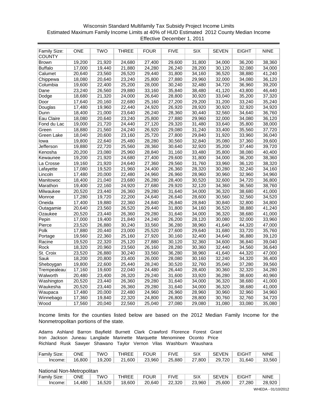## Wisconsin Standard Multifamily Tax Subsidy Project Income Limits Estimated Maximum Family Income Limits at 40% of HUD Estimated 2012 County Median Income Effective December 1, 2011

| Family Size:      | <b>ONE</b> | <b>TWO</b> | THREE  | <b>FOUR</b> | <b>FIVE</b> | <b>SIX</b> | <b>SEVEN</b> | <b>EIGHT</b> | <b>NINE</b> |
|-------------------|------------|------------|--------|-------------|-------------|------------|--------------|--------------|-------------|
| <b>COUNTY</b>     |            |            |        |             |             |            |              |              |             |
| <b>Brown</b>      | 19,200     | 21,920     | 24,680 | 27,400      | 29,600      | 31,800     | 34,000       | 36,200       | 38,360      |
| <b>Buffalo</b>    | 17,000     | 19,440     | 21,880 | 24,280      | 26,240      | 28,200     | 30,120       | 32,080       | 34,000      |
| Calumet           | 20,640     | 23,560     | 26,520 | 29,440      | 31,800      | 34,160     | 36,520       | 38,880       | 41,240      |
| Chippewa          | 18,080     | 20,640     | 23,240 | 25,800      | 27,880      | 29,960     | 32,000       | 34,080       | 36,120      |
| Columbia          | 19,600     | 22,400     | 25,200 | 28,000      | 30,240      | 32,480     | 34,720       | 36,960       | 39,200      |
| Dane              | 23,240     | 26,560     | 29,880 | 33,160      | 35,840      | 38,480     | 41,120       | 43,800       | 46,440      |
| Dodge             | 18,680     | 21,320     | 24,000 | 26,640      | 28,800      | 30,920     | 33,040       | 35,200       | 37,320      |
| Door              | 17,640     | 20,160     | 22,680 | 25,160      | 27,200      | 29,200     | 31,200       | 33,240       | 35,240      |
| Douglas           | 17,480     | 19,960     | 22,440 | 24,920      | 26,920      | 28,920     | 30,920       | 32,920       | 34,920      |
| Dunn              | 18,400     | 21,000     | 23,640 | 26,240      | 28,360      | 30,440     | 32,560       | 34,640       | 36,760      |
| Eau Claire        | 18,080     | 20,640     | 23,240 | 25,800      | 27,880      | 29,960     | 32,000       | 34,080       | 36,120      |
| Fond du Lac       | 19,000     | 21,720     | 24,440 | 27,120      | 29,320      | 31,480     | 33,640       | 35,800       | 38,000      |
| Green             | 18,880     | 21,560     | 24,240 | 26,920      | 29,080      | 31,240     | 33,400       | 35,560       | 37,720      |
| <b>Green Lake</b> | 18,040     | 20,600     | 23,160 | 25,720      | 27,800      | 29,840     | 31,920       | 33,960       | 36,040      |
| lowa              | 19,800     | 22,640     | 25,480 | 28,280      | 30,560      | 32,840     | 35,080       | 37,360       | 39,600      |
| Jefferson         | 19,880     | 22,720     | 25,560 | 28,360      | 30,640      | 32,920     | 35,200       | 37,440       | 39,720      |
| Kenosha           | 20,200     | 23,080     | 25,960 | 28,840      | 31,160      | 33,480     | 35,800       | 38,080       | 40,400      |
| Kewaunee          | 19,200     | 21,920     | 24,680 | 27,400      | 29,600      | 31,800     | 34,000       | 36,200       | 38,360      |
| La Crosse         | 19,160     | 21,920     | 24,640 | 27,360      | 29,560      | 31,760     | 33,960       | 36,120       | 38,320      |
| Lafayette         | 17,080     | 19,520     | 21,960 | 24,400      | 26,360      | 28,320     | 30,280       | 32,240       | 34,160      |
| Lincoln           | 17,480     | 20,000     | 22,480 | 24,960      | 26,960      | 28,960     | 30,960       | 32,960       | 34,960      |
| Manitowoc         | 18,400     | 21,040     | 23,680 | 26,280      | 28,400      | 30,520     | 32,600       | 34,720       | 36,800      |
| Marathon          | 19,400     | 22,160     | 24,920 | 27,680      | 29,920      | 32,120     | 34,360       | 36,560       | 38,760      |
| Milwaukee         | 20,520     | 23,440     | 26,360 | 29,280      | 31,640      | 34,000     | 36,320       | 38,680       | 41,000      |
| Monroe            | 17,280     | 19,720     | 22,200 | 24,640      | 26,640      | 28,600     | 30,560       | 32,560       | 34,520      |
| Oneida            | 17,400     | 19,880     | 22,360 | 24,840      | 26,840      | 28,840     | 30,840       | 32,800       | 34,800      |
| Outagamie         | 20,640     | 23,560     | 26,520 | 29,440      | 31,800      | 34,160     | 36,520       | 38,880       | 41,240      |
| Ozaukee           | 20,520     | 23,440     | 26,360 | 29,280      | 31,640      | 34,000     | 36,320       | 38,680       | 41,000      |
| Pepin             | 17,000     | 19,400     | 21,840 | 24,240      | 26,200      | 28,120     | 30,080       | 32,000       | 33,960      |
| Pierce            | 23,520     | 26,880     | 30,240 | 33,560      | 36,280      | 38,960     | 41,640       | 44,320       | 47,000      |
| Polk              | 17,880     | 20,440     | 23,000 | 25,520      | 27,600      | 29,640     | 31,680       | 33,720       | 35,760      |
| Portage           | 19,560     | 22,360     | 25,160 | 27,920      | 30,160      | 32,400     | 34,640       | 36,880       | 39,120      |
| Racine            | 19,520     | 22,320     | 25,120 | 27,880      | 30,120      | 32,360     | 34,600       | 36,840       | 39,040      |
| Rock              | 18,320     | 20,960     | 23,560 | 26,160      | 28,280      | 30,360     | 32,440       | 34,560       | 36,640      |
| St. Croix         | 23,520     | 26,880     | 30,240 | 33,560      | 36,280      | 38,960     | 41,640       | 44,320       | 47,000      |
| Sauk              | 18,200     | 20,800     | 23,400 | 26,000      | 28,080      | 30,160     | 32,240       | 34,320       | 36,400      |
| Sheboygan         | 19,800     | 22,600     | 25,440 | 28,240      | 30,520      | 32,760     | 35,040       | 37,280       | 39,560      |
| Trempealeau       | 17,160     | 19,600     | 22,040 | 24,480      | 26,440      | 28,400     | 30,360       | 32,320       | 34,280      |
| Walworth          | 20,480     | 23,400     | 26,320 | 29,240      | 31,600      | 33,920     | 36,280       | 38,600       | 40,960      |
| Washington        | 20,520     | 23,440     | 26,360 | 29,280      | 31,640      | 34,000     | 36,320       | 38,680       | 41,000      |
| Waukesha          | 20,520     | 23,440     | 26,360 | 29,280      | 31,640      | 34,000     | 36,320       | 38,680       | 41,000      |
| Waupaca           | 17,480     | 20,000     | 22,480 | 24,960      | 26,960      | 28,960     | 30,960       | 32,960       | 34,960      |
| Winnebago         | 17,360     | 19,840     | 22,320 | 24,800      | 26,800      | 28,800     | 30,760       | 32,760       | 34,720      |
| Wood              | 17,560     | 20,040     | 22,560 | 25,040      | 27,080      | 29,080     | 31,080       | 33,080       | 35,080      |

Income limits for the counties listed below are based on the 2012 Median Family Income for the Nonmetropolitan portions of the state.

Adams Ashland Barron Bayfield Burnett Clark Crawford Florence Forest Grant Iron Jackson Juneau Langlade Marinette Marquette Menominee Oconto Price Richland Rusk Sawyer Shawano Taylor Vernon Vilas Washburn Waushara

| Family Size: | ONE    | <b>TWC</b> | HREE       | <b>FOUR</b> | <b>FIVE</b> |        | <b>SEVEN</b> | <b>EIGHT</b> | NINE   |
|--------------|--------|------------|------------|-------------|-------------|--------|--------------|--------------|--------|
| Income:      | 16,800 | 19,200     | .600<br>21 | 23,960      | 25,880      | 27,800 | 29.720       | 31.640       | 33,560 |

| Family Size: | ONE    | TWO    | THREE  | <b>FOUR</b> | <b>FIVE</b> | <b>SIX</b> | <b>SEVEN</b> | <b>EIGHT</b> | <b>NINE</b> |
|--------------|--------|--------|--------|-------------|-------------|------------|--------------|--------------|-------------|
| Income:      | 14.480 | 16,520 | 18,600 | 20.640      | 22,320      | 23,960     | 25,600       | 27.280       | 28,920      |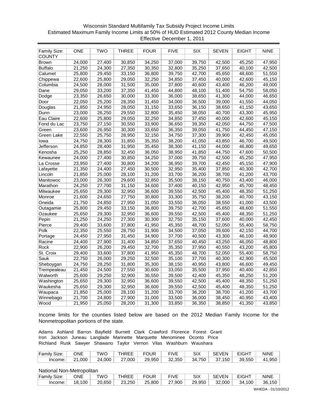## Wisconsin Standard Multifamily Tax Subsidy Project Income Limits Estimated Maximum Family Income Limits at 50% of HUD Estimated 2012 County Median Income Effective December 1, 2011

| Family Size:      | ONE    | TWO    | THREE  | <b>FOUR</b> | <b>FIVE</b> | <b>SIX</b> | <b>SEVEN</b> | <b>EIGHT</b> | <b>NINE</b> |
|-------------------|--------|--------|--------|-------------|-------------|------------|--------------|--------------|-------------|
| <b>COUNTY</b>     |        |        |        |             |             |            |              |              |             |
| <b>Brown</b>      | 24,000 | 27,400 | 30,850 | 34,250      | 37,000      | 39,750     | 42,500       | 45,250       | 47,950      |
| <b>Buffalo</b>    | 21,250 | 24,300 | 27,350 | 30,350      | 32,800      | 35,250     | 37,650       | 40,100       | 42,500      |
| Calumet           | 25,800 | 29,450 | 33,150 | 36,800      | 39,750      | 42,700     | 45,650       | 48,600       | 51,550      |
| Chippewa          | 22,600 | 25,800 | 29,050 | 32,250      | 34,850      | 37,450     | 40,000       | 42,600       | 45,150      |
| Columbia          | 24,500 | 28,000 | 31,500 | 35,000      | 37,800      | 40,600     | 43,400       | 46,200       | 49,000      |
| Dane              | 29,050 | 33,200 | 37,350 | 41,450      | 44,800      | 48,100     | 51,400       | 54,750       | 58,050      |
| Dodge             | 23,350 | 26,650 | 30,000 | 33,300      | 36,000      | 38,650     | 41,300       | 44,000       | 46,650      |
| Door              | 22,050 | 25,200 | 28,350 | 31,450      | 34,000      | 36,500     | 39,000       | 41,550       | 44,050      |
| Douglas           | 21,850 | 24,950 | 28,050 | 31,150      | 33,650      | 36,150     | 38,650       | 41,150       | 43,650      |
| Dunn              | 23,000 | 26,250 | 29,550 | 32,800      | 35,450      | 38,050     | 40,700       | 43,300       | 45,950      |
| Eau Claire        | 22,600 | 25,800 | 29,050 | 32,250      | 34,850      | 37,450     | 40,000       | 42,600       | 45,150      |
| Fond du Lac       | 23,750 | 27,150 | 30,550 | 33,900      | 36,650      | 39,350     | 42,050       | 44,750       | 47,500      |
| Green             | 23,600 | 26,950 | 30,300 | 33,650      | 36,350      | 39,050     | 41,750       | 44,450       | 47,150      |
| <b>Green Lake</b> | 22,550 | 25,750 | 28,950 | 32,150      | 34,750      | 37,300     | 39,900       | 42,450       | 45,050      |
| Iowa              | 24,750 | 28,300 | 31,850 | 35,350      | 38,200      | 41,050     | 43,850       | 46,700       | 49,500      |
| Jefferson         | 24,850 | 28,400 | 31,950 | 35,450      | 38,300      | 41,150     | 44,000       | 46,800       | 49,650      |
| Kenosha           | 25,250 | 28,850 | 32,450 | 36,050      | 38,950      | 41,850     | 44,750       | 47,600       | 50,500      |
| Kewaunee          | 24,000 | 27,400 | 30,850 | 34,250      | 37,000      | 39,750     | 42,500       | 45,250       | 47,950      |
| La Crosse         | 23,950 | 27,400 | 30,800 | 34,200      | 36,950      | 39,700     | 42,450       | 45,150       | 47,900      |
| Lafayette         | 21,350 | 24,400 | 27,450 | 30,500      | 32,950      | 35,400     | 37,850       | 40,300       | 42,700      |
| Lincoln           | 21,850 | 25,000 | 28,100 | 31,200      | 33,700      | 36,200     | 38,700       | 41,200       | 43,700      |
| Manitowoc         | 23,000 | 26,300 | 29,600 | 32,850      | 35,500      | 38,150     | 40,750       | 43,400       | 46,000      |
| Marathon          | 24,250 | 27,700 | 31,150 | 34,600      | 37,400      | 40,150     | 42,950       | 45,700       | 48,450      |
| Milwaukee         | 25,650 | 29,300 | 32,950 | 36,600      | 39,550      | 42,500     | 45,400       | 48,350       | 51,250      |
| Monroe            | 21,600 | 24,650 | 27,750 | 30,800      | 33,300      | 35,750     | 38,200       | 40,700       | 43,150      |
| Oneida            | 21,750 | 24,850 | 27,950 | 31,050      | 33,550      | 36,050     | 38,550       | 41,000       | 43,500      |
| Outagamie         | 25,800 | 29,450 | 33,150 | 36,800      | 39,750      | 42,700     | 45,650       | 48,600       | 51,550      |
| Ozaukee           | 25,650 | 29,300 | 32,950 | 36,600      | 39,550      | 42,500     | 45,400       | 48,350       | 51,250      |
| Pepin             | 21,250 | 24,250 | 27,300 | 30,300      | 32,750      | 35,150     | 37,600       | 40,000       | 42,450      |
| Pierce            | 29,400 | 33,600 | 37,800 | 41,950      | 45,350      | 48,700     | 52,050       | 55,400       | 58,750      |
| Polk              | 22,350 | 25,550 | 28,750 | 31,900      | 34,500      | 37,050     | 39,600       | 42,150       | 44,700      |
| Portage           | 24,450 | 27,950 | 31,450 | 34,900      | 37,700      | 40,500     | 43,300       | 46,100       | 48,900      |
| Racine            | 24,400 | 27,900 | 31,400 | 34,850      | 37,650      | 40,450     | 43,250       | 46,050       | 48,800      |
| Rock              | 22,900 | 26,200 | 29,450 | 32,700      | 35,350      | 37,950     | 40,550       | 43,200       | 45,800      |
| St. Croix         | 29,400 | 33,600 | 37,800 | 41,950      | 45,350      | 48,700     | 52,050       | 55,400       | 58,750      |
| Sauk              | 22,750 | 26,000 | 29,250 | 32,500      | 35,100      | 37,700     | 40,300       | 42,900       | 45,500      |
| Sheboygan         | 24,750 | 28,250 | 31,800 | 35,300      | 38,150      | 40,950     | 43,800       | 46,600       | 49,450      |
| Trempealeau       | 21,450 | 24,500 | 27,550 | 30,600      | 33,050      | 35,500     | 37,950       | 40,400       | 42,850      |
| Walworth          | 25,600 | 29,250 | 32,900 | 36,550      | 39,500      | 42,400     | 45,350       | 48,250       | 51,200      |
| Washington        | 25,650 | 29,300 | 32,950 | 36,600      | 39,550      | 42,500     | 45,400       | 48,350       | 51,250      |
| Waukesha          | 25,650 | 29,300 | 32,950 | 36,600      | 39,550      | 42,500     | 45,400       | 48,350       | 51,250      |
| Waupaca           | 21,850 | 25,000 | 28,100 | 31,200      | 33,700      | 36,200     | 38,700       | 41,200       | 43,700      |
| Winnebago         | 21,700 | 24,800 | 27,900 | 31,000      | 33,500      | 36,000     | 38,450       | 40,950       | 43,400      |
| Wood              | 21,950 | 25,050 | 28,200 | 31,300      | 33,850      | 36,350     | 38,850       | 41,350       | 43,850      |

Income limits for the counties listed below are based on the 2012 Median Family Income for the Nonmetropolitan portions of the state.

Adams Ashland Barron Bayfield Burnett Clark Crawford Florence Forest Grant Iron Jackson Juneau Langlade Marinette Marquette Menominee Oconto Price Richland Rusk Sawyer Shawano Taylor Vernon Vilas Washburn Waushara

| Family Size: | ONE      | TWO    | THREE  | <b>FOUR</b> | <b>FIVE</b> |        | <b>SEVEN</b> | EIGH <sup>7</sup> | <b>NINE</b> |
|--------------|----------|--------|--------|-------------|-------------|--------|--------------|-------------------|-------------|
| Income:      | ٔ 000. ا | 24,000 | 27,000 | 29.950      | 32,350      | 34.750 | 37.150       | 39.550            | .950<br>41  |

| Family Size: | ONE        | <b>TWC</b> | <b>THREE</b> | ⊤OUR   | <b>FIVE</b> | SIX    | SEVEN  | <b>EIGHT</b> | <b>NINE</b> |
|--------------|------------|------------|--------------|--------|-------------|--------|--------|--------------|-------------|
| Income:      | 100<br>18. | 20.650     | 23.250       | 25,800 | .900<br>27  | 29.950 | 32,000 | 100<br>34.   | 36,150      |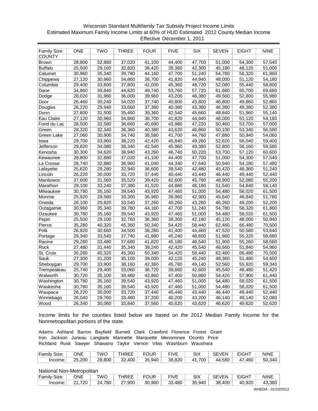## Wisconsin Standard Multifamily Tax Subsidy Project Income Limits Estimated Maximum Family Income Limits at 60% of HUD Estimated 2012 County Median Income Effective December 1, 2011

| Family Size:   | <b>ONE</b> | <b>TWO</b> | THREE  | FOUR   | <b>FIVE</b> | <b>SIX</b> | <b>SEVEN</b> | EIGHT  | <b>NINE</b> |
|----------------|------------|------------|--------|--------|-------------|------------|--------------|--------|-------------|
| <b>COUNTY</b>  |            |            |        |        |             |            |              |        |             |
| <b>Brown</b>   | 28,800     | 32,880     | 37,020 | 41,100 | 44,400      | 47,700     | 51,000       | 54,300 | 57,540      |
| <b>Buffalo</b> | 25,500     | 29,160     | 32,820 | 36,420 | 39,360      | 42,300     | 45,180       | 48,120 | 51,000      |
| Calumet        | 30,960     | 35,340     | 39,780 | 44,160 | 47,700      | 51,240     | 54,780       | 58,320 | 61,860      |
| Chippewa       | 27,120     | 30,960     | 34,860 | 38,700 | 41,820      | 44,940     | 48,000       | 51,120 | 54,180      |
| Columbia       | 29,400     | 33,600     | 37,800 | 42,000 | 45,360      | 48,720     | 52,080       | 55,440 | 58,800      |
| Dane           | 34,860     | 39,840     | 44,820 | 49,740 | 53,760      | 57,720     | 61,680       | 65,700 | 69,660      |
| Dodge          | 28,020     | 31,980     | 36,000 | 39,960 | 43,200      | 46,380     | 49,560       | 52,800 | 55,980      |
| Door           | 26,460     | 30,240     | 34,020 | 37,740 | 40,800      | 43,800     | 46,800       | 49,860 | 52,860      |
| Douglas        | 26,220     | 29,940     | 33,660 | 37,380 | 40,380      | 43,380     | 46,380       | 49,380 | 52,380      |
| Dunn           | 27,600     | 31,500     | 35,460 | 39,360 | 42,540      | 45,660     | 48,840       | 51,960 | 55,140      |
| Eau Claire     | 27,120     | 30,960     | 34,860 | 38,700 | 41,820      | 44,940     | 48,000       | 51,120 | 54,180      |
| Fond du Lac    | 28,500     | 32,580     | 36,660 | 40,680 | 43,980      | 47,220     | 50,460       | 53,700 | 57,000      |
| Green          | 28,320     | 32,340     | 36,360 | 40,380 | 43,620      | 46,860     | 50,100       | 53,340 | 56,580      |
| Green Lake     | 27,060     | 30,900     | 34,740 | 38,580 | 41,700      | 44,760     | 47,880       | 50,940 | 54,060      |
| lowa           | 29,700     | 33,960     | 38,220 | 42,420 | 45,840      | 49,260     | 52,620       | 56,040 | 59,400      |
| Jefferson      | 29,820     | 34,080     | 38,340 | 42,540 | 45,960      | 49,380     | 52,800       | 56,160 | 59,580      |
| Kenosha        | 30,300     | 34,620     | 38,940 | 43,260 | 46,740      | 50,220     | 53,700       | 57,120 | 60,600      |
| Kewaunee       | 28,800     | 32,880     | 37,020 | 41,100 | 44,400      | 47,700     | 51,000       | 54,300 | 57,540      |
| La Crosse      | 28,740     | 32,880     | 36,960 | 41,040 | 44,340      | 47,640     | 50,940       | 54,180 | 57,480      |
| Lafayette      | 25,620     | 29,280     | 32,940 | 36,600 | 39,540      | 42,480     | 45,420       | 48,360 | 51,240      |
| Lincoln        | 26,220     | 30,000     | 33,720 | 37,440 | 40,440      | 43,440     | 46,440       | 49,440 | 52,440      |
| Manitowoc      | 27,600     | 31,560     | 35,520 | 39,420 | 42,600      | 45,780     | 48,900       | 52,080 | 55,200      |
| Marathon       | 29,100     | 33,240     | 37,380 | 41,520 | 44,880      | 48,180     | 51,540       | 54,840 | 58,140      |
| Milwaukee      | 30,780     | 35,160     | 39,540 | 43,920 | 47,460      | 51,000     | 54,480       | 58,020 | 61,500      |
| Monroe         | 25,920     | 29,580     | 33,300 | 36,960 | 39,960      | 42,900     | 45,840       | 48,840 | 51,780      |
| Oneida         | 26,100     | 29,820     | 33,540 | 37,260 | 40,260      | 43,260     | 46,260       | 49,200 | 52,200      |
| Outagamie      | 30,960     | 35,340     | 39,780 | 44,160 | 47,700      | 51,240     | 54,780       | 58,320 | 61,860      |
| Ozaukee        | 30,780     | 35,160     | 39,540 | 43,920 | 47,460      | 51,000     | 54,480       | 58,020 | 61,500      |
| Pepin          | 25,500     | 29,100     | 32,760 | 36,360 | 39,300      | 42,180     | 45,120       | 48,000 | 50,940      |
| Pierce         | 35,280     | 40,320     | 45,360 | 50,340 | 54,420      | 58,440     | 62,460       | 66,480 | 70,500      |
| Polk           | 26,820     | 30,660     | 34,500 | 38,280 | 41,400      | 44,460     | 47,520       | 50,580 | 53,640      |
| Portage        | 29,340     | 33,540     | 37,740 | 41,880 | 45,240      | 48,600     | 51,960       | 55,320 | 58,680      |
| Racine         | 29,280     | 33,480     | 37,680 | 41,820 | 45,180      | 48,540     | 51,900       | 55,260 | 58,560      |
| Rock           | 27,480     | 31,440     | 35,340 | 39,240 | 42,420      | 45,540     | 48,660       | 51,840 | 54,960      |
| St. Croix      | 35,280     | 40,320     | 45,360 | 50,340 | 54,420      | 58,440     | 62,460       | 66,480 | 70,500      |
| Sauk           | 27,300     | 31,200     | 35,100 | 39,000 | 42,120      | 45,240     | 48,360       | 51,480 | 54,600      |
| Sheboygan      | 29,700     | 33,900     | 38,160 | 42,360 | 45,780      | 49,140     | 52,560       | 55,920 | 59,340      |
| Trempealeau    | 25,740     | 29,400     | 33,060 | 36,720 | 39,660      | 42,600     | 45,540       | 48,480 | 51,420      |
| Walworth       | 30,720     | 35,100     | 39,480 | 43,860 | 47,400      | 50,880     | 54,420       | 57,900 | 61,440      |
| Washington     | 30,780     | 35,160     | 39,540 | 43,920 | 47,460      | 51,000     | 54,480       | 58,020 | 61,500      |
| Waukesha       | 30,780     | 35,160     | 39,540 | 43,920 | 47,460      | 51,000     | 54,480       | 58,020 | 61,500      |
| Waupaca        | 26,220     | 30,000     | 33,720 | 37,440 | 40,440      | 43,440     | 46,440       | 49,440 | 52,440      |
| Winnebago      | 26,040     | 29,760     | 33,480 | 37,200 | 40,200      | 43,200     | 46,140       | 49,140 | 52,080      |
| Wood           | 26,340     | 30,060     | 33,840 | 37,560 | 40,620      | 43,620     | 46,620       | 49,620 | 52,620      |

Income limits for the counties listed below are based on the 2012 Median Family Income for the Nonmetropolitan portions of the state.

Adams Ashland Barron Bayfield Burnett Clark Crawford Florence Forest Grant Iron Jackson Juneau Langlade Marinette Marquette Menominee Oconto Price Richland Rusk Sawyer Shawano Taylor Vernon Vilas Washburn Waushara

| Family Size: | ONE    | TWC    | <b>THREE</b> | <b>FOUR</b> | <b>FIVE</b> |        | <b>SEVEN</b> | <b>EIGHT</b> | NINE   |
|--------------|--------|--------|--------------|-------------|-------------|--------|--------------|--------------|--------|
| Income:      | 25,200 | 28,800 | 32,400       | 35,940      | 38.820      | 41.700 | 44,580       | .460<br>47   | 50,340 |

| Family Size: | ONE | <b>TWC</b> | <b>THREE</b> | ⊂OUR   | FIVE   | SIX    | <b>SEVEN</b> | EIGHT  | NINE   |
|--------------|-----|------------|--------------|--------|--------|--------|--------------|--------|--------|
| Income:      | 720 | 24.780     | 27.900       | 30.960 | 33.480 | 35.940 | 38.400       | 40.920 | 43.380 |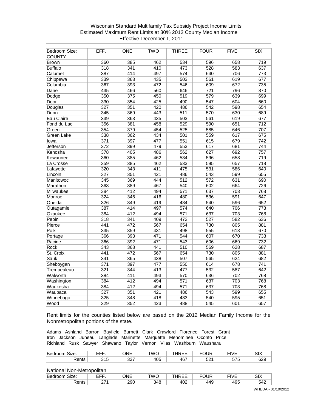## Wisconsin Standard Multifamily Tax Subsidy Project Income Limits Estimated Maximum Rent Limits at 30% 2012 County Median Income Effective December 1, 2011

| Bedroom Size:     | EFF.             | ONE              | <b>TWO</b>       | <b>THREE</b>     | <b>FOUR</b>      | <b>FIVE</b> | <b>SIX</b>       |
|-------------------|------------------|------------------|------------------|------------------|------------------|-------------|------------------|
| <b>COUNTY</b>     |                  |                  |                  |                  |                  |             |                  |
| <b>Brown</b>      | 360              | 385              | 462              | 534              | 596              | 658         | 719              |
| <b>Buffalo</b>    | $\overline{318}$ | 341              | 410              | 473              | $\overline{528}$ | 583         | 637              |
| Calumet           | 387              | 414              | 497              | $\overline{574}$ | 640              | 706         | $\overline{773}$ |
| Chippewa          | 339              | 363              | 435              | 503              | 561              | 619         | 677              |
| Columbia          | 367              | 393              | 472              | 546              | 609              | 672         | 735              |
| Dane              | 435              | 466              | 560              | 646              | 721              | 796         | 870              |
| Dodge             | $\overline{350}$ | 375              | 450              | $\overline{519}$ | 579              | 639         | 699              |
| Door              | 330              | 354              | 425              | 490              | $\overline{547}$ | 604         | 660              |
| Douglas           | $\overline{327}$ | 351              | 420              | 486              | 542              | 598         | 654              |
| Dunn              | 345              | 369              | 443              | 511              | 570              | 630         | 689              |
| Eau Claire        | 339              | 363              | 435              | 503              | 561              | 619         | 677              |
| Fond du Lac       | 356              | 381              | 458              | 529              | 590              | 651         | 712              |
| Green             | 354              | 379              | 454              | 525              | 585              | 646         | 707              |
| <b>Green Lake</b> | 338              | 362              | 434              | 501              | 559              | 617         | 675              |
| lowa              | $\overline{371}$ | 397              | 477              | 551              | 615              | 679         | $\overline{742}$ |
| <b>Jefferson</b>  | 372              | 399              | 479              | 553              | 617              | 681         | 744              |
| Kenosha           | 378              | 405              | 486              | 562              | 627              | 692         | 757              |
| Kewaunee          | 360              | 385              | 462              | 534              | 596              | 658         | $\overline{719}$ |
| La Crosse         | 359              | 385              | 462              | 533              | 595              | 657         | $\overline{718}$ |
| Lafayette         | 320              | 343              | 411              | 475              | 531              | 586         | 640              |
| Lincoln           | 327              | 351              | 421              | 486              | 543              | 599         | 655              |
| Manitowoc         | 345              | 369              | 444              | $\overline{512}$ | 572              | 631         | 690              |
| Marathon          | 363              | 389              | 467              | 540              | 602              | 664         | $\overline{726}$ |
| Milwaukee         | 384              | 412              | 494              | $\overline{571}$ | 637              | 703         | 768              |
| Monroe            | 324              | 346              | 416              | 480              | 536              | 591         | 647              |
| Oneida            | 326              | 349              | 419              | 484              | 540              | 596         | 652              |
| Outagamie         | 387              | 414              | 497              | 574              | 640              | 706         | 773              |
| Ozaukee           | 384              | $\overline{412}$ | 494              | $\overline{571}$ | 637              | 703         | 768              |
| Pepin             | 318              | 341              | 409              | 472              | 527              | 582         | 636              |
| Pierce            | 441              | 472              | 567              | 654              | 730              | 805         | 881              |
| Polk              | 335              | 359              | 431              | 498              | 555              | 613         | 670              |
| Portage           | 366              | 393              | 471              | 544              | 607              | 670         | 733              |
| Racine            | 366              | 392              | 471              | $\overline{543}$ | 606              | 669         | 732              |
| <b>Rock</b>       | 343              | 368              | 441              | 510              | 569              | 628         | 687              |
| St. Croix         | 441              | 472              | 567              | 654              | 730              | 805         | 881              |
| Sauk              | 341              | 365              | 438              | 507              | 565              | 624         | 682              |
| Sheboygan         | $\overline{371}$ | 397              | 477              | 550              | 614              | 678         | $\overline{741}$ |
| Trempealeau       | $\overline{321}$ | 344              | $\overline{413}$ | 477              | 532              | 587         | 642              |
| Walworth          | 384              | $\overline{411}$ | 493              | 570              | 636              | 702         | 768              |
| Washington        | 384              | $\overline{412}$ | 494              | 571              | 637              | 703         | 768              |
| Waukesha          | 384              | $\overline{412}$ | 494              | $\overline{571}$ | 637              | 703         | 768              |
| Waupaca           | 327              | 351              | 421              | 486              | 543              | 599         | 655              |
| Winnebago         | 325              | 348              | 418              | 483              | 540              | 595         | 651              |
| Wood              | 329              | 352              | 423              | 488              | 545              | 601         | 657              |

Rent limits for the counties listed below are based on the 2012 Median Family Income for the Nonmetropolitan portions of the state.

Adams Ashland Barron Bayfield Burnett Clark Crawford Florence Forest Grant Iron Jackson Juneau Langlade Marinette Marquette Menominee Oconto Price Richland Rusk Sawyer Shawano Taylor Vernon Vilas Washburn Waushara

| $\sim$<br>Size:<br>OOU.<br>Dе<br>. | ----                                  | ONE       | <b>TWC</b> | ---<br>໋ | FOUR            | $-111$<br>$\cdot$ V $\cdot$ | $\mathbf{C}$<br>ಾಗಿ |
|------------------------------------|---------------------------------------|-----------|------------|----------|-----------------|-----------------------------|---------------------|
| onto:<br>10. ILO.                  | $\overline{\phantom{0}}$<br>. א<br>יי | ົ້<br>، ب | 405        | 467      | <b>ro</b><br>ےت | $- - -$                     | െറ<br>∽<br>ᅜ        |

| D.<br>$-$<br>вe<br>OIZE. | ----                      | 7NE<br>-- | _<br>.<br>N/ | $\sim$ $\sim$ $\sim$<br>╌ | ----       | ----         | $\sim$<br>∧וט    |
|--------------------------|---------------------------|-----------|--------------|---------------------------|------------|--------------|------------------|
| .                        | $\sim$ $\sim$<br><u>.</u> | 290       | ว⊿ด<br>∪⊤ບ   | 10 <sup>o</sup><br>᠇୰୵    | AC<br>TT J | $\sim$<br>་◡ | F A<br>71<br>◡᠇▵ |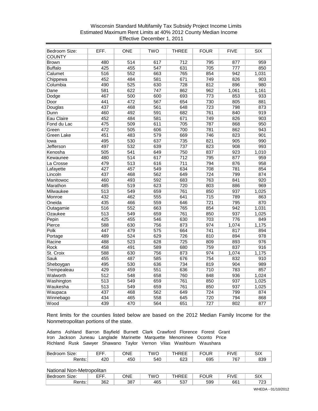## Wisconsin Standard Multifamily Tax Subsidy Project Income Limits Estimated Maximum Rent Limits at 40% 2012 County Median Income Effective December 1, 2011

| Bedroom Size:    | EFF.             | ONE              | <b>TWO</b>       | <b>THREE</b>     | <b>FOUR</b>      | <b>FIVE</b>      | SIX              |
|------------------|------------------|------------------|------------------|------------------|------------------|------------------|------------------|
| <b>COUNTY</b>    |                  |                  |                  |                  |                  |                  |                  |
| <b>Brown</b>     | 480              | 514              | 617              | $\overline{712}$ | 795              | 877              | 959              |
| <b>Buffalo</b>   | 425              | 455              | 547              | 631              | 705              | $\overline{777}$ | 850              |
| Calumet          | $\overline{516}$ | $\overline{552}$ | 663              | 765              | 854              | 942              | 1,031            |
| Chippewa         | 452              | 484              | 581              | 671              | 749              | 826              | 903              |
| Columbia         | 490              | 525              | 630              | $\overline{728}$ | 812              | 896              | 980              |
| Dane             | 581              | 622              | 747              | 862              | 962              | 1,061            | 1,161            |
| Dodge            | 467              | 500              | 600              | 693              | $\overline{773}$ | 853              | 933              |
| Door             | 441              | 472              | 567              | 654              | 730              | 805              | 881              |
| Douglas          | 437              | 468              | 561              | 648              | 723              | 798              | 873              |
| Dunn             | 460              | 492              | 591              | 682              | 761              | 840              | 919              |
| Eau Claire       | 452              | 484              | 581              | $\overline{671}$ | 749              | 826              | 903              |
| Fond du Lac      | 475              | 509              | 611              | 705              | 787              | 868              | 950              |
| Green            | 472              | 505              | 606              | 700              | 781              | 862              | 943              |
| Green Lake       | 451              | 483              | 579              | 669              | 746              | 823              | $\overline{901}$ |
| lowa             | 495              | 530              | 637              | 735              | 821              | 905              | 990              |
| <b>Jefferson</b> | 497              | 532              | 639              | 737              | 823              | 908              | 993              |
| Kenosha          | 505              | 541              | 649              | 750              | 837              | 923              | 1,010            |
| Kewaunee         | 480              | $\overline{514}$ | 617              | $\overline{712}$ | 795              | 877              | 959              |
| La Crosse        | 479              | $\overline{513}$ | 616              | $\overline{711}$ | 794              | 876              | 958              |
| Lafayette        | 427              | 457              | 549              | 634              | 708              | 781              | 854              |
| Lincoln          | 437              | 468              | 562              | 649              | 724              | 799              | 874              |
| Manitowoc        | 460              | 493              | 592              | 683              | 763              | 841              | 920              |
| Marathon         | 485              | $\overline{519}$ | 623              | 720              | 803              | 886              | 969              |
| Milwaukee        | $\overline{513}$ | 549              | 659              | 761              | 850              | 937              | 1,025            |
| Monroe           | 432              | 462              | $\overline{555}$ | 641              | $\overline{715}$ | 789              | 863              |
| Oneida           | 435              | 466              | 559              | 646              | 721              | 795              | 870              |
| Outagamie        | 516              | 552              | 663              | 765              | 854              | 942              | 1,031            |
| Ozaukee          | $\overline{513}$ | 549              | 659              | 761              | 850              | 937              | 1,025            |
| Pepin            | 425              | 455              | 546              | 630              | 703              | 776              | 849              |
| Pierce           | 588              | 630              | 756              | 873              | 974              | 1,074            | 1,175            |
| Polk             | 447              | 479              | 575              | 664              | $\overline{741}$ | 817              | 894              |
| Portage          | 489              | 524              | 629              | 726              | 810              | 894              | 978              |
| Racine           | 488              | $\overline{523}$ | 628              | $\overline{725}$ | 809              | 893              | 976              |
| <b>Rock</b>      | 458              | 491              | 589              | 680              | 759              | 837              | 916              |
| St. Croix        | 588              | 630              | 756              | 873              | 974              | 1,074            | 1,175            |
| Sauk             | 455              | 487              | 585              | 676              | 754              | 832              | 910              |
| Sheboygan        | 495              | 530              | 636              | 734              | 819              | 904              | 989              |
| Trempealeau      | 429              | 459              | 551              | 636              | 710              | 783              | 857              |
| Walworth         | $\overline{512}$ | 548              | 658              | 760              | 848              | 936              | 1,024            |
| Washington       | $\overline{513}$ | 549              | 659              | 761              | 850              | 937              | 1,025            |
| Waukesha         | $\overline{513}$ | 549              | 659              | 761              | 850              | 937              | 1,025            |
| Waupaca          | 437              | 468              | 562              | 649              | 724              | 799              | 874              |
| Winnebago        | 434              | 465              | 558              | 645              | 720              | 794              | 868              |
| Wood             | 439              | 470              | 564              | 651              | $\overline{727}$ | 802              | 877              |

Rent limits for the counties listed below are based on the 2012 Median Family Income for the Nonmetropolitan portions of the state.

Adams Ashland Barron Bayfield Burnett Clark Crawford Florence Forest Grant Iron Jackson Juneau Langlade Marinette Marquette Menominee Oconto Price Richland Rusk Sawyer Shawano Taylor Vernon Vilas Washburn Waushara

| $\sim$<br>Size:<br>001<br>Dе<br>. 11 | ---         | ONE            | <b>TWC</b> | ---<br>໋      | FOUR | ---<br>$\cdot$ V $\cdot$       | $\mathbf{C}$<br>∧וכ |
|--------------------------------------|-------------|----------------|------------|---------------|------|--------------------------------|---------------------|
| onto:<br>1011 IU.                    | חרו<br>44 L | $ \sim$<br>450 | 54C        | $\sim$<br>ບ∠ບ | 695  | $\overline{\phantom{a}}$<br>U. | റററ<br>ບບະ          |

| в.<br>் 7≏்<br>ne.<br>.סגוט | ---- | )NE      | W.           | $\sim$ $\sim$ $\sim$<br>໋ | <b>FALID</b> | ---<br>$\overline{\phantom{a}}$<br>v | $\sim$<br>ত৷∧ |
|-----------------------------|------|----------|--------------|---------------------------|--------------|--------------------------------------|---------------|
|                             | 362  | ິ<br>387 | 1 Q C<br>ruu | -07<br>، ں ب              | 599<br>ບບບ   | 661                                  | 700<br>ں ے ،  |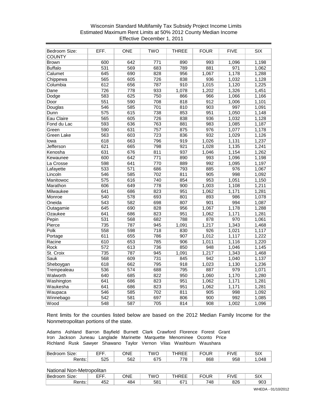## Wisconsin Standard Multifamily Tax Subsidy Project Income Limits Estimated Maximum Rent Limits at 50% 2012 County Median Income Effective December 1, 2011

| Bedroom Size:  | EFF.             | ONE | <b>TWO</b>       | <b>THREE</b> | <b>FOUR</b> | <b>FIVE</b>      | SIX   |
|----------------|------------------|-----|------------------|--------------|-------------|------------------|-------|
| <b>COUNTY</b>  |                  |     |                  |              |             |                  |       |
| <b>Brown</b>   | 600              | 642 | $\overline{771}$ | 890          | 993         | 1,096            | 1,198 |
| <b>Buffalo</b> | 531              | 569 | 683              | 789          | 881         | $\overline{971}$ | 1,062 |
| Calumet        | 645              | 690 | 828              | 956          | 1,067       | 1,178            | 1,288 |
| Chippewa       | 565              | 605 | 726              | 838          | 936         | 1,032            | 1,128 |
| Columbia       | 612              | 656 | 787              | 910          | 1,015       | 1,120            | 1,225 |
| Dane           | 726              | 778 | 933              | 1,078        | 1,202       | 1,326            | 1,451 |
| Dodge          | 583              | 625 | 750              | 866          | 966         | 1,066            | 1,166 |
| Door           | 551              | 590 | 708              | 818          | 912         | 1,006            | 1,101 |
| Douglas        | 546              | 585 | 701              | 810          | 903         | 997              | 1,091 |
| Dunn           | 575              | 615 | 738              | 853          | 951         | 1,050            | 1,148 |
| Eau Claire     | 565              | 605 | 726              | 838          | 936         | 1,032            | 1,128 |
| Fond du Lac    | 593              | 636 | 763              | 881          | 983         | 1,085            | 1,187 |
| Green          | 590              | 631 | 757              | 875          | 976         | 1,077            | 1,178 |
| Green Lake     | 563              | 603 | 723              | 836          | 932         | 1,029            | 1,126 |
| lowa           | 618              | 663 | 796              | 919          | 1,026       | 1,131            | 1,237 |
| Jefferson      | 621              | 665 | 798              | 921          | 1,028       | 1,135            | 1,241 |
| Kenosha        | 631              | 676 | 811              | 937          | 1,046       | 1,154            | 1,262 |
| Kewaunee       | 600              | 642 | $\overline{771}$ | 890          | 993         | 1,096            | 1,198 |
| La Crosse      | 598              | 641 | 770              | 889          | 992         | 1,095            | 1,197 |
| Lafayette      | 533              | 571 | 686              | 793          | 885         | 976              | 1,067 |
| Lincoln        | 546              | 585 | 702              | 811          | 905         | 998              | 1,092 |
| Manitowoc      | 575              | 616 | 740              | 854          | 953         | 1,051            | 1,150 |
| Marathon       | 606              | 649 | 778              | 900          | 1,003       | 1,108            | 1,211 |
| Milwaukee      | 641              | 686 | 823              | 951          | 1,062       | 1,171            | 1,281 |
| Monroe         | 540              | 578 | 693              | 801          | 893         | 986              | 1,078 |
| Oneida         | 543              | 582 | 698              | 807          | 901         | 994              | 1,087 |
| Outagamie      | 645              | 690 | 828              | 956          | 1,067       | 1,178            | 1,288 |
| Ozaukee        | 641              | 686 | 823              | 951          | 1,062       | 1,171            | 1,281 |
| Pepin          | 531              | 568 | 682              | 788          | 878         | 970              | 1,061 |
| Pierce         | 735              | 787 | 945              | 1,091        | 1,217       | 1,343            | 1,468 |
| Polk           | 558              | 598 | $\overline{718}$ | 830          | 926         | 1,021            | 1,117 |
| Portage        | 611              | 655 | 786              | 907          | 1,012       | 1,117            | 1,222 |
| Racine         | 610              | 653 | 785              | 906          | 1,011       | 1,116            | 1,220 |
| <b>Rock</b>    | 572              | 613 | 736              | 850          | 948         | 1,046            | 1,145 |
| St. Croix      | 735              | 787 | 945              | 1,091        | 1,217       | 1,343            | 1,468 |
| Sauk           | 568              | 609 | 731              | 845          | 942         | 1,040            | 1,137 |
| Sheboygan      | 618              | 662 | 795              | 918          | 1,023       | 1,130            | 1,236 |
| Trempealeau    | 536              | 574 | 688              | 795          | 887         | 979              | 1,071 |
| Walworth       | 640              | 685 | 822              | 950          | 1,060       | 1,170            | 1,280 |
| Washington     | 641              | 686 | 823              | 951          | 1,062       | 1,171            | 1,281 |
| Waukesha       | 641              | 686 | 823              | 951          | 1,062       | 1,171            | 1,281 |
| Waupaca        | 546              | 585 | 702              | 811          | 905         | 998              | 1,092 |
| Winnebago      | 542              | 581 | 697              | 806          | 900         | 992              | 1,085 |
| Wood           | $\overline{548}$ | 587 | 705              | 814          | 908         | 1,002            | 1,096 |

Rent limits for the counties listed below are based on the 2012 Median Family Income for the Nonmetropolitan portions of the state.

Adams Ashland Barron Bayfield Burnett Clark Crawford Florence Forest Grant Iron Jackson Juneau Langlade Marinette Marquette Menominee Oconto Price Richland Rusk Sawyer Shawano Taylor Vernon Vilas Washburn Waushara

| <u>'n</u><br>'Bedr<br>Size:<br>OOHI | ---<br>---  | ONE        | TWC        | $- - -$<br>---<br>╌ | FOUR | $-111$<br>$\mathbf{v}$ | SIX     |
|-------------------------------------|-------------|------------|------------|---------------------|------|------------------------|---------|
| $-$ ante $-$<br>של ווש.             | につに<br>ں ےں | -00<br>562 | ~~~<br>b75 | 770<br>◡            | 868  | 958                    | ۱4<br>Õ |

| -<br>Size:<br>нд | ---                   | .<br>)N⊩<br>-- | W.                       | $\sim$ $\sim$ $\sim$<br>໋ | --- | $- \cdot \cdot$<br>$\overline{\phantom{a}}$ | <b>CIV</b><br>◡ᡰᄉ |
|------------------|-----------------------|----------------|--------------------------|---------------------------|-----|---------------------------------------------|-------------------|
| - - - -          | $- \sim$<br>∽∪∠<br>__ | 184<br>гv-     | <b>CO</b> 4<br>יי<br>ו ש | $\sim$ $\rightarrow$      | 748 | 826<br>◡∠◡                                  | 903               |